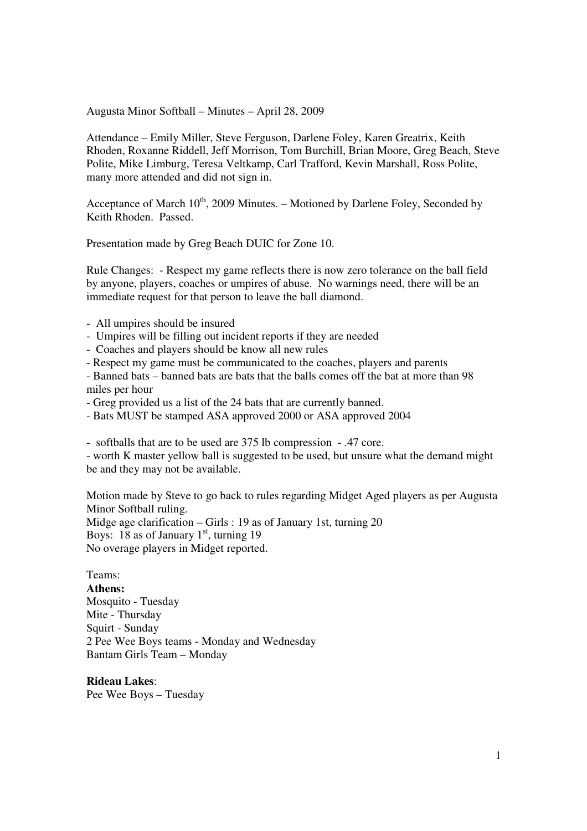Augusta Minor Softball – Minutes – April 28, 2009

Attendance – Emily Miller, Steve Ferguson, Darlene Foley, Karen Greatrix, Keith Rhoden, Roxanne Riddell, Jeff Morrison, Tom Burchill, Brian Moore, Greg Beach, Steve Polite, Mike Limburg, Teresa Veltkamp, Carl Trafford, Kevin Marshall, Ross Polite, many more attended and did not sign in.

Acceptance of March  $10^{th}$ , 2009 Minutes. – Motioned by Darlene Foley, Seconded by Keith Rhoden. Passed.

Presentation made by Greg Beach DUIC for Zone 10.

Rule Changes: - Respect my game reflects there is now zero tolerance on the ball field by anyone, players, coaches or umpires of abuse. No warnings need, there will be an immediate request for that person to leave the ball diamond.

- All umpires should be insured
- Umpires will be filling out incident reports if they are needed
- Coaches and players should be know all new rules
- Respect my game must be communicated to the coaches, players and parents

- Banned bats – banned bats are bats that the balls comes off the bat at more than 98 miles per hour

- Greg provided us a list of the 24 bats that are currently banned.
- Bats MUST be stamped ASA approved 2000 or ASA approved 2004

- softballs that are to be used are 375 lb compression - .47 core.

- worth K master yellow ball is suggested to be used, but unsure what the demand might be and they may not be available.

Motion made by Steve to go back to rules regarding Midget Aged players as per Augusta Minor Softball ruling. Midge age clarification – Girls : 19 as of January 1st, turning 20 Boys: 18 as of January  $1<sup>st</sup>$ , turning 19 No overage players in Midget reported.

#### Teams:

**Athens:**  Mosquito - Tuesday Mite - Thursday Squirt - Sunday 2 Pee Wee Boys teams - Monday and Wednesday Bantam Girls Team – Monday

**Rideau Lakes**: Pee Wee Boys – Tuesday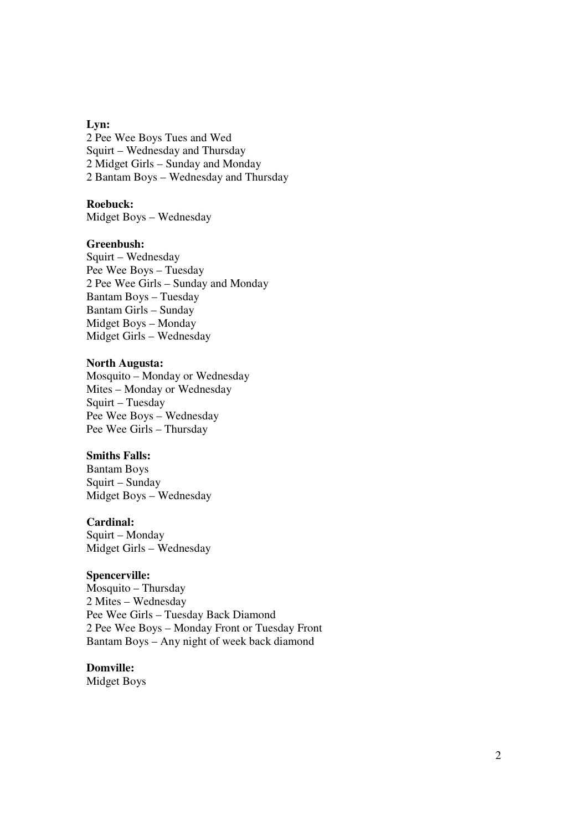#### **Lyn:**

2 Pee Wee Boys Tues and Wed Squirt – Wednesday and Thursday 2 Midget Girls – Sunday and Monday 2 Bantam Boys – Wednesday and Thursday

## **Roebuck:**

Midget Boys – Wednesday

### **Greenbush:**

Squirt – Wednesday Pee Wee Boys – Tuesday 2 Pee Wee Girls – Sunday and Monday Bantam Boys – Tuesday Bantam Girls – Sunday Midget Boys – Monday Midget Girls – Wednesday

# **North Augusta:**

Mosquito – Monday or Wednesday Mites – Monday or Wednesday Squirt – Tuesday Pee Wee Boys – Wednesday Pee Wee Girls – Thursday

## **Smiths Falls:**

Bantam Boys Squirt – Sunday Midget Boys – Wednesday

### **Cardinal:**

Squirt – Monday Midget Girls – Wednesday

### **Spencerville:**

Mosquito – Thursday 2 Mites – Wednesday Pee Wee Girls – Tuesday Back Diamond 2 Pee Wee Boys – Monday Front or Tuesday Front Bantam Boys – Any night of week back diamond

# **Domville:**

Midget Boys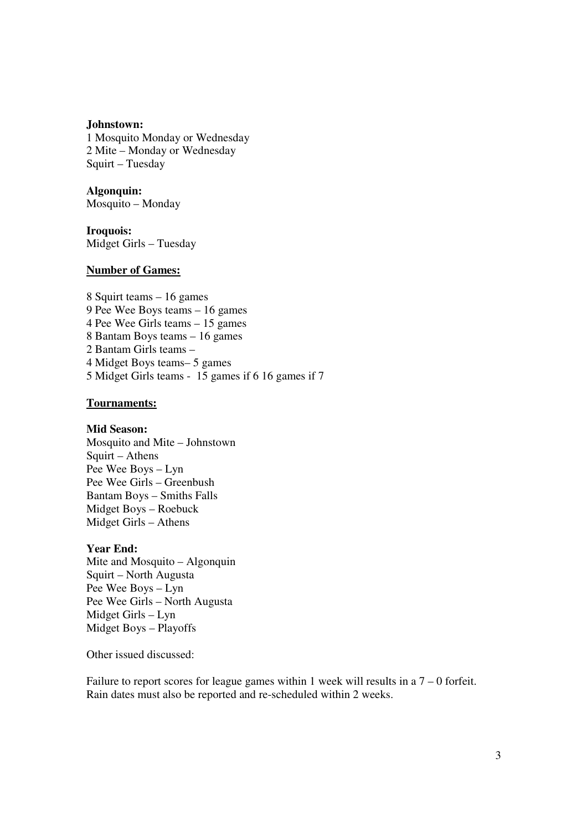#### **Johnstown:**

1 Mosquito Monday or Wednesday 2 Mite – Monday or Wednesday Squirt – Tuesday

**Algonquin:**  Mosquito – Monday

**Iroquois:**  Midget Girls – Tuesday

# **Number of Games:**

8 Squirt teams – 16 games 9 Pee Wee Boys teams – 16 games 4 Pee Wee Girls teams – 15 games 8 Bantam Boys teams – 16 games 2 Bantam Girls teams – 4 Midget Boys teams– 5 games 5 Midget Girls teams - 15 games if 6 16 games if 7

# **Tournaments:**

### **Mid Season:**

Mosquito and Mite – Johnstown Squirt – Athens Pee Wee Boys – Lyn Pee Wee Girls – Greenbush Bantam Boys – Smiths Falls Midget Boys – Roebuck Midget Girls – Athens

### **Year End:**

Mite and Mosquito – Algonquin Squirt – North Augusta Pee Wee Boys – Lyn Pee Wee Girls – North Augusta Midget Girls – Lyn Midget Boys – Playoffs

Other issued discussed:

Failure to report scores for league games within 1 week will results in a  $7 - 0$  forfeit. Rain dates must also be reported and re-scheduled within 2 weeks.